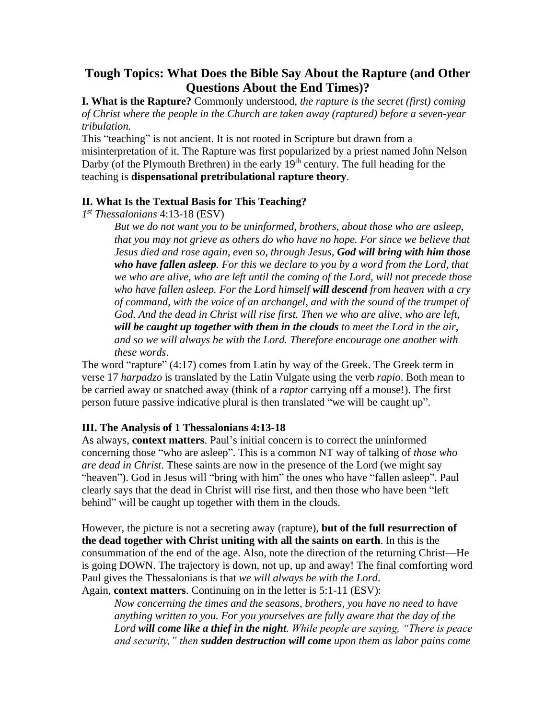# **Tough Topics: What Does the Bible Say About the Rapture (and Other Questions About the End Times)?**

**I. What is the Rapture?** Commonly understood, *the rapture is the secret (first) coming of Christ where the people in the Church are taken away (raptured) before a seven-year tribulation.*

This "teaching" is not ancient. It is not rooted in Scripture but drawn from a misinterpretation of it. The Rapture was first popularized by a priest named John Nelson Darby (of the Plymouth Brethren) in the early  $19<sup>th</sup>$  century. The full heading for the teaching is **dispensational pretribulational rapture theory**.

### **II. What Is the Textual Basis for This Teaching?**

*1 st Thessalonians* 4:13-18 (ESV)

*But we do not want you to be uninformed, brothers, about those who are asleep, that you may not grieve as others do who have no hope. For since we believe that Jesus died and rose again, even so, through Jesus, God will bring with him those who have fallen asleep. For this we declare to you by a word from the Lord, that we who are alive, who are left until the coming of the Lord, will not precede those who have fallen asleep. For the Lord himself will descend from heaven with a cry of command, with the voice of an archangel, and with the sound of the trumpet of God. And the dead in Christ will rise first. Then we who are alive, who are left, will be caught up together with them in the clouds to meet the Lord in the air, and so we will always be with the Lord. Therefore encourage one another with these words*.

The word "rapture" (4:17) comes from Latin by way of the Greek. The Greek term in verse 17 *harpadzo* is translated by the Latin Vulgate using the verb *rapio*. Both mean to be carried away or snatched away (think of a *raptor* carrying off a mouse!). The first person future passive indicative plural is then translated "we will be caught up".

## **III. The Analysis of 1 Thessalonians 4:13-18**

As always, **context matters**. Paul's initial concern is to correct the uninformed concerning those "who are asleep". This is a common NT way of talking of *those who are dead in Christ*. These saints are now in the presence of the Lord (we might say "heaven"). God in Jesus will "bring with him" the ones who have "fallen asleep". Paul clearly says that the dead in Christ will rise first, and then those who have been "left behind" will be caught up together with them in the clouds.

However, the picture is not a secreting away (rapture), **but of the full resurrection of the dead together with Christ uniting with all the saints on earth**. In this is the consummation of the end of the age. Also, note the direction of the returning Christ—He is going DOWN. The trajectory is down, not up, up and away! The final comforting word Paul gives the Thessalonians is that *we will always be with the Lord*. Again, **context matters**. Continuing on in the letter is 5:1-11 (ESV):

*Now concerning the times and the seasons, brothers, you have no need to have anything written to you. For you yourselves are fully aware that the day of the Lord will come like a thief in the night. While people are saying, "There is peace and security," then sudden destruction will come upon them as labor pains come*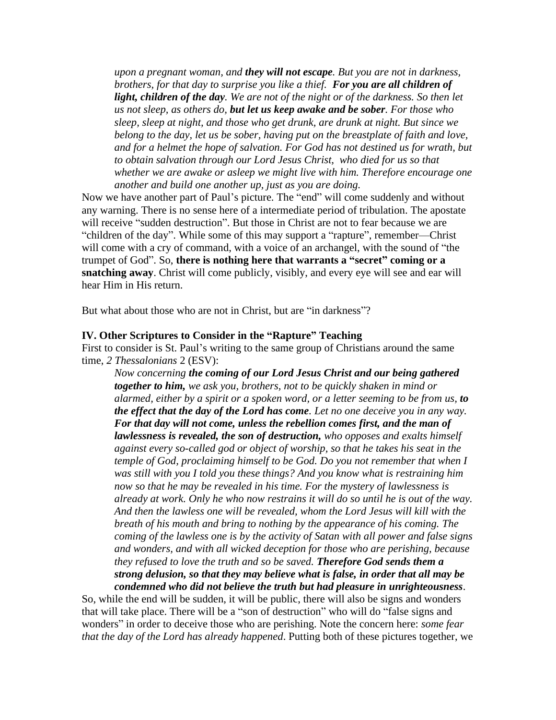*upon a pregnant woman, and they will not escape. But you are not in darkness, brothers, for that day to surprise you like a thief. For you are all children of light, children of the day. We are not of the night or of the darkness. So then let us not sleep, as others do, but let us keep awake and be sober. For those who sleep, sleep at night, and those who get drunk, are drunk at night. But since we belong to the day, let us be sober, having put on the breastplate of faith and love,*  and for a helmet the hope of salvation. For God has not destined us for wrath, but *to obtain salvation through our Lord Jesus Christ, who died for us so that whether we are awake or asleep we might live with him. Therefore encourage one another and build one another up, just as you are doing.*

Now we have another part of Paul's picture. The "end" will come suddenly and without any warning. There is no sense here of a intermediate period of tribulation. The apostate will receive "sudden destruction". But those in Christ are not to fear because we are "children of the day". While some of this may support a "rapture", remember—Christ will come with a cry of command, with a voice of an archangel, with the sound of "the trumpet of God". So, **there is nothing here that warrants a "secret" coming or a snatching away**. Christ will come publicly, visibly, and every eye will see and ear will hear Him in His return.

But what about those who are not in Christ, but are "in darkness"?

#### **IV. Other Scriptures to Consider in the "Rapture" Teaching**

First to consider is St. Paul's writing to the same group of Christians around the same time, *2 Thessalonians* 2 (ESV):

*Now concerning the coming of our Lord Jesus Christ and our being gathered together to him, we ask you, brothers, not to be quickly shaken in mind or alarmed, either by a spirit or a spoken word, or a letter seeming to be from us, to the effect that the day of the Lord has come. Let no one deceive you in any way. For that day will not come, unless the rebellion comes first, and the man of lawlessness is revealed, the son of destruction, who opposes and exalts himself against every so-called god or object of worship, so that he takes his seat in the temple of God, proclaiming himself to be God. Do you not remember that when I was still with you I told you these things? And you know what is restraining him now so that he may be revealed in his time. For the mystery of lawlessness is already at work. Only he who now restrains it will do so until he is out of the way. And then the lawless one will be revealed, whom the Lord Jesus will kill with the breath of his mouth and bring to nothing by the appearance of his coming. The coming of the lawless one is by the activity of Satan with all power and false signs and wonders, and with all wicked deception for those who are perishing, because they refused to love the truth and so be saved. Therefore God sends them a strong delusion, so that they may believe what is false, in order that all may be condemned who did not believe the truth but had pleasure in unrighteousness*.

So, while the end will be sudden, it will be public, there will also be signs and wonders that will take place. There will be a "son of destruction" who will do "false signs and wonders" in order to deceive those who are perishing. Note the concern here: *some fear that the day of the Lord has already happened*. Putting both of these pictures together, we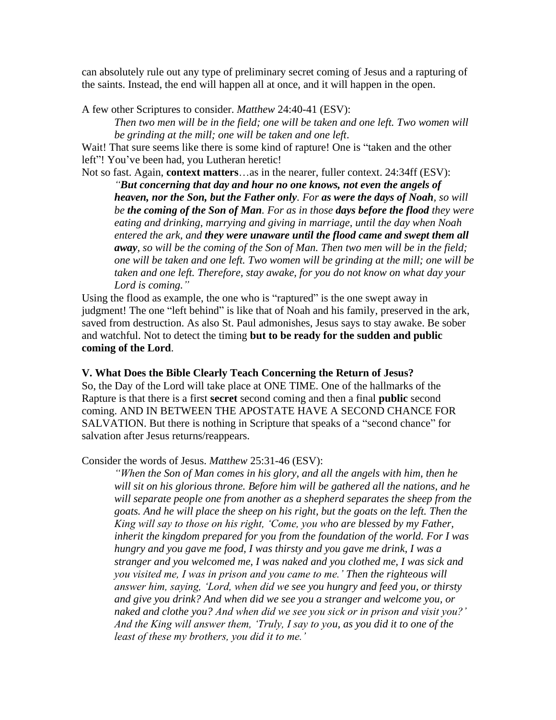can absolutely rule out any type of preliminary secret coming of Jesus and a rapturing of the saints. Instead, the end will happen all at once, and it will happen in the open.

A few other Scriptures to consider. *Matthew* 24:40-41 (ESV):

*Then two men will be in the field; one will be taken and one left. Two women will be grinding at the mill; one will be taken and one left*.

Wait! That sure seems like there is some kind of rapture! One is "taken and the other left"! You've been had, you Lutheran heretic!

Not so fast. Again, **context matters**…as in the nearer, fuller context. 24:34ff (ESV):

*"But concerning that day and hour no one knows, not even the angels of heaven, nor the Son, but the Father only. For as were the days of Noah, so will be the coming of the Son of Man. For as in those days before the flood they were eating and drinking, marrying and giving in marriage, until the day when Noah entered the ark, and they were unaware until the flood came and swept them all away, so will be the coming of the Son of Man. Then two men will be in the field; one will be taken and one left. Two women will be grinding at the mill; one will be taken and one left. Therefore, stay awake, for you do not know on what day your Lord is coming."*

Using the flood as example, the one who is "raptured" is the one swept away in judgment! The one "left behind" is like that of Noah and his family, preserved in the ark, saved from destruction. As also St. Paul admonishes, Jesus says to stay awake. Be sober and watchful. Not to detect the timing **but to be ready for the sudden and public coming of the Lord**.

**V. What Does the Bible Clearly Teach Concerning the Return of Jesus?**  So, the Day of the Lord will take place at ONE TIME. One of the hallmarks of the Rapture is that there is a first **secret** second coming and then a final **public** second coming. AND IN BETWEEN THE APOSTATE HAVE A SECOND CHANCE FOR SALVATION. But there is nothing in Scripture that speaks of a "second chance" for salvation after Jesus returns/reappears.

Consider the words of Jesus. *Matthew* 25:31-46 (ESV):

*"When the Son of Man comes in his glory, and all the angels with him, then he will sit on his glorious throne. Before him will be gathered all the nations, and he will separate people one from another as a shepherd separates the sheep from the goats. And he will place the sheep on his right, but the goats on the left. Then the King will say to those on his right, 'Come, you who are blessed by my Father, inherit the kingdom prepared for you from the foundation of the world. For I was hungry and you gave me food, I was thirsty and you gave me drink, I was a stranger and you welcomed me, I was naked and you clothed me, I was sick and you visited me, I was in prison and you came to me.' Then the righteous will answer him, saying, 'Lord, when did we see you hungry and feed you, or thirsty and give you drink? And when did we see you a stranger and welcome you, or naked and clothe you? And when did we see you sick or in prison and visit you?' And the King will answer them, 'Truly, I say to you, as you did it to one of the least of these my brothers, you did it to me.'*